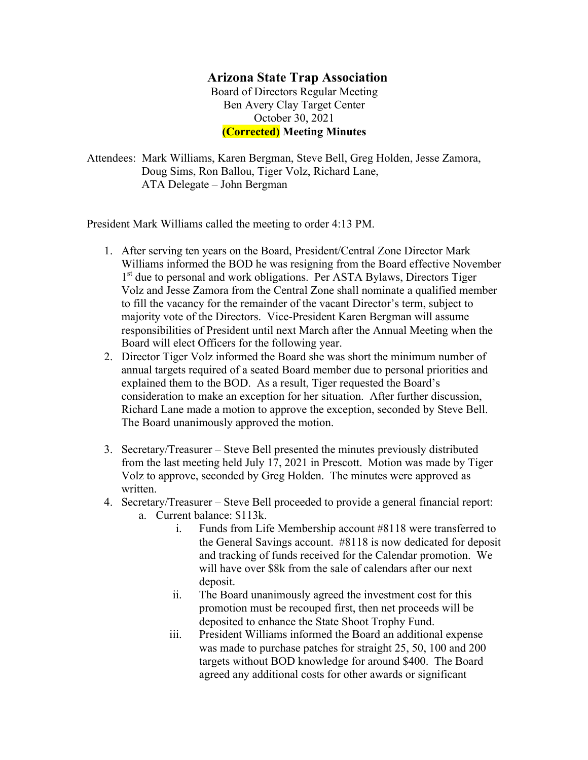## **Arizona State Trap Association**

Board of Directors Regular Meeting Ben Avery Clay Target Center October 30, 2021 **(Corrected) Meeting Minutes**

Attendees: Mark Williams, Karen Bergman, Steve Bell, Greg Holden, Jesse Zamora, Doug Sims, Ron Ballou, Tiger Volz, Richard Lane, ATA Delegate – John Bergman

President Mark Williams called the meeting to order 4:13 PM.

- 1. After serving ten years on the Board, President/Central Zone Director Mark Williams informed the BOD he was resigning from the Board effective November 1<sup>st</sup> due to personal and work obligations. Per ASTA Bylaws, Directors Tiger Volz and Jesse Zamora from the Central Zone shall nominate a qualified member to fill the vacancy for the remainder of the vacant Director's term, subject to majority vote of the Directors. Vice-President Karen Bergman will assume responsibilities of President until next March after the Annual Meeting when the Board will elect Officers for the following year.
- 2. Director Tiger Volz informed the Board she was short the minimum number of annual targets required of a seated Board member due to personal priorities and explained them to the BOD. As a result, Tiger requested the Board's consideration to make an exception for her situation. After further discussion, Richard Lane made a motion to approve the exception, seconded by Steve Bell. The Board unanimously approved the motion.
- 3. Secretary/Treasurer Steve Bell presented the minutes previously distributed from the last meeting held July 17, 2021 in Prescott. Motion was made by Tiger Volz to approve, seconded by Greg Holden. The minutes were approved as written.
- 4. Secretary/Treasurer Steve Bell proceeded to provide a general financial report: a. Current balance: \$113k.
	- i. Funds from Life Membership account #8118 were transferred to the General Savings account. #8118 is now dedicated for deposit and tracking of funds received for the Calendar promotion. We will have over \$8k from the sale of calendars after our next deposit.
	- ii. The Board unanimously agreed the investment cost for this promotion must be recouped first, then net proceeds will be deposited to enhance the State Shoot Trophy Fund.
	- iii. President Williams informed the Board an additional expense was made to purchase patches for straight 25, 50, 100 and 200 targets without BOD knowledge for around \$400. The Board agreed any additional costs for other awards or significant